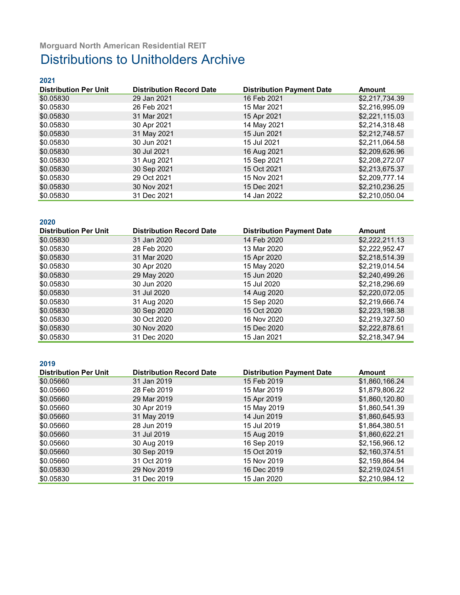#### **2021**

| <b>Distribution Per Unit</b> | <b>Distribution Record Date</b> | <b>Distribution Payment Date</b> | <b>Amount</b>  |
|------------------------------|---------------------------------|----------------------------------|----------------|
| \$0.05830                    | 29 Jan 2021                     | 16 Feb 2021                      | \$2,217,734.39 |
| \$0.05830                    | 26 Feb 2021                     | 15 Mar 2021                      | \$2,216,995.09 |
| \$0.05830                    | 31 Mar 2021                     | 15 Apr 2021                      | \$2,221,115.03 |
| \$0.05830                    | 30 Apr 2021                     | 14 May 2021                      | \$2,214,318.48 |
| \$0.05830                    | 31 May 2021                     | 15 Jun 2021                      | \$2,212,748.57 |
| \$0.05830                    | 30 Jun 2021                     | 15 Jul 2021                      | \$2,211,064.58 |
| \$0.05830                    | 30 Jul 2021                     | 16 Aug 2021                      | \$2,209,626.96 |
| \$0.05830                    | 31 Aug 2021                     | 15 Sep 2021                      | \$2,208,272.07 |
| \$0.05830                    | 30 Sep 2021                     | 15 Oct 2021                      | \$2,213,675.37 |
| \$0.05830                    | 29 Oct 2021                     | 15 Nov 2021                      | \$2,209,777.14 |
| \$0.05830                    | 30 Nov 2021                     | 15 Dec 2021                      | \$2,210,236.25 |
| \$0.05830                    | 31 Dec 2021                     | 14 Jan 2022                      | \$2,210,050.04 |

### **2020**

| <b>Distribution Per Unit</b> | <b>Distribution Record Date</b> | <b>Distribution Payment Date</b> | <b>Amount</b>  |
|------------------------------|---------------------------------|----------------------------------|----------------|
| \$0.05830                    | 31 Jan 2020                     | 14 Feb 2020                      | \$2,222,211.13 |
| \$0.05830                    | 28 Feb 2020                     | 13 Mar 2020                      | \$2,222,952.47 |
| \$0.05830                    | 31 Mar 2020                     | 15 Apr 2020                      | \$2,218,514.39 |
| \$0.05830                    | 30 Apr 2020                     | 15 May 2020                      | \$2,219,014.54 |
| \$0.05830                    | 29 May 2020                     | 15 Jun 2020                      | \$2,240,499.26 |
| \$0.05830                    | 30 Jun 2020                     | 15 Jul 2020                      | \$2,218,296.69 |
| \$0.05830                    | 31 Jul 2020                     | 14 Aug 2020                      | \$2,220,072.05 |
| \$0.05830                    | 31 Aug 2020                     | 15 Sep 2020                      | \$2,219,666.74 |
| \$0.05830                    | 30 Sep 2020                     | 15 Oct 2020                      | \$2,223,198.38 |
| \$0.05830                    | 30 Oct 2020                     | 16 Nov 2020                      | \$2,219,327.50 |
| \$0.05830                    | 30 Nov 2020                     | 15 Dec 2020                      | \$2,222,878.61 |
| \$0.05830                    | 31 Dec 2020                     | 15 Jan 2021                      | \$2,218,347.94 |

#### **2019**

| <b>Distribution Per Unit</b> | <b>Distribution Record Date</b> | <b>Distribution Payment Date</b> | <b>Amount</b>  |
|------------------------------|---------------------------------|----------------------------------|----------------|
| \$0.05660                    | 31 Jan 2019                     | 15 Feb 2019                      | \$1,860,166.24 |
| \$0.05660                    | 28 Feb 2019                     | 15 Mar 2019                      | \$1,879,806.22 |
| \$0.05660                    | 29 Mar 2019                     | 15 Apr 2019                      | \$1,860,120.80 |
| \$0.05660                    | 30 Apr 2019                     | 15 May 2019                      | \$1,860,541.39 |
| \$0.05660                    | 31 May 2019                     | 14 Jun 2019                      | \$1,860,645.93 |
| \$0.05660                    | 28 Jun 2019                     | 15 Jul 2019                      | \$1,864,380.51 |
| \$0.05660                    | 31 Jul 2019                     | 15 Aug 2019                      | \$1,860,622.21 |
| \$0.05660                    | 30 Aug 2019                     | 16 Sep 2019                      | \$2,156,966.12 |
| \$0.05660                    | 30 Sep 2019                     | 15 Oct 2019                      | \$2,160,374.51 |
| \$0.05660                    | 31 Oct 2019                     | 15 Nov 2019                      | \$2,159,864.94 |
| \$0.05830                    | 29 Nov 2019                     | 16 Dec 2019                      | \$2,219,024.51 |
| \$0.05830                    | 31 Dec 2019                     | 15 Jan 2020                      | \$2,210,984.12 |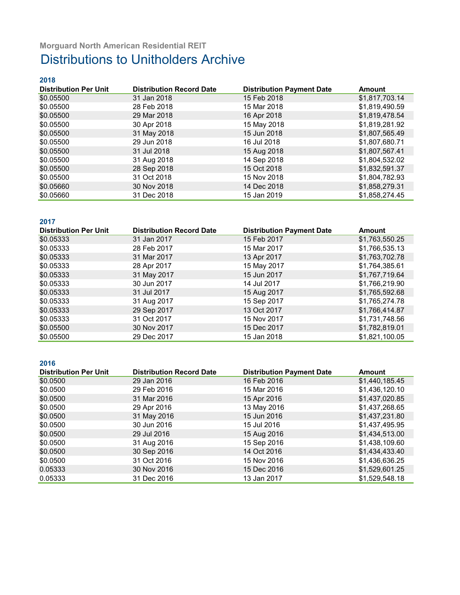### **2018**

| <b>Distribution Per Unit</b> | <b>Distribution Record Date</b> | <b>Distribution Payment Date</b> | <b>Amount</b>  |
|------------------------------|---------------------------------|----------------------------------|----------------|
| \$0.05500                    | 31 Jan 2018                     | 15 Feb 2018                      | \$1,817,703.14 |
| \$0.05500                    | 28 Feb 2018                     | 15 Mar 2018                      | \$1,819,490.59 |
| \$0.05500                    | 29 Mar 2018                     | 16 Apr 2018                      | \$1,819,478.54 |
| \$0.05500                    | 30 Apr 2018                     | 15 May 2018                      | \$1,819,281.92 |
| \$0.05500                    | 31 May 2018                     | 15 Jun 2018                      | \$1,807,565.49 |
| \$0.05500                    | 29 Jun 2018                     | 16 Jul 2018                      | \$1,807,680.71 |
| \$0.05500                    | 31 Jul 2018                     | 15 Aug 2018                      | \$1,807,567.41 |
| \$0.05500                    | 31 Aug 2018                     | 14 Sep 2018                      | \$1,804,532.02 |
| \$0.05500                    | 28 Sep 2018                     | 15 Oct 2018                      | \$1,832,591.37 |
| \$0.05500                    | 31 Oct 2018                     | 15 Nov 2018                      | \$1,804,782.93 |
| \$0.05660                    | 30 Nov 2018                     | 14 Dec 2018                      | \$1,858,279.31 |
| \$0.05660                    | 31 Dec 2018                     | 15 Jan 2019                      | \$1,858,274.45 |

### **2017**

| <b>Distribution Per Unit</b> | <b>Distribution Record Date</b> | <b>Distribution Payment Date</b> | <b>Amount</b>  |
|------------------------------|---------------------------------|----------------------------------|----------------|
| \$0.05333                    | 31 Jan 2017                     | 15 Feb 2017                      | \$1,763,550.25 |
| \$0.05333                    | 28 Feb 2017                     | 15 Mar 2017                      | \$1,766,535.13 |
| \$0.05333                    | 31 Mar 2017                     | 13 Apr 2017                      | \$1,763,702.78 |
| \$0.05333                    | 28 Apr 2017                     | 15 May 2017                      | \$1,764,385.61 |
| \$0.05333                    | 31 May 2017                     | 15 Jun 2017                      | \$1,767,719.64 |
| \$0.05333                    | 30 Jun 2017                     | 14 Jul 2017                      | \$1,766,219.90 |
| \$0.05333                    | 31 Jul 2017                     | 15 Aug 2017                      | \$1,765,592.68 |
| \$0.05333                    | 31 Aug 2017                     | 15 Sep 2017                      | \$1,765,274.78 |
| \$0.05333                    | 29 Sep 2017                     | 13 Oct 2017                      | \$1,766,414.87 |
| \$0.05333                    | 31 Oct 2017                     | 15 Nov 2017                      | \$1,731,748.56 |
| \$0.05500                    | 30 Nov 2017                     | 15 Dec 2017                      | \$1,782,819.01 |
| \$0.05500                    | 29 Dec 2017                     | 15 Jan 2018                      | \$1,821,100.05 |

#### **2016**

| <b>Distribution Per Unit</b> | <b>Distribution Record Date</b> | <b>Distribution Payment Date</b> | <b>Amount</b>  |
|------------------------------|---------------------------------|----------------------------------|----------------|
| \$0.0500                     | 29 Jan 2016                     | 16 Feb 2016                      | \$1,440,185.45 |
| \$0.0500                     | 29 Feb 2016                     | 15 Mar 2016                      | \$1,436,120.10 |
| \$0.0500                     | 31 Mar 2016                     | 15 Apr 2016                      | \$1,437,020.85 |
| \$0.0500                     | 29 Apr 2016                     | 13 May 2016                      | \$1,437,268.65 |
| \$0.0500                     | 31 May 2016                     | 15 Jun 2016                      | \$1,437,231.80 |
| \$0.0500                     | 30 Jun 2016                     | 15 Jul 2016                      | \$1,437,495.95 |
| \$0.0500                     | 29 Jul 2016                     | 15 Aug 2016                      | \$1,434,513.00 |
| \$0.0500                     | 31 Aug 2016                     | 15 Sep 2016                      | \$1,438,109.60 |
| \$0.0500                     | 30 Sep 2016                     | 14 Oct 2016                      | \$1,434,433.40 |
| \$0.0500                     | 31 Oct 2016                     | 15 Nov 2016                      | \$1,436,636.25 |
| 0.05333                      | 30 Nov 2016                     | 15 Dec 2016                      | \$1,529,601.25 |
| 0.05333                      | 31 Dec 2016                     | 13 Jan 2017                      | \$1,529,548.18 |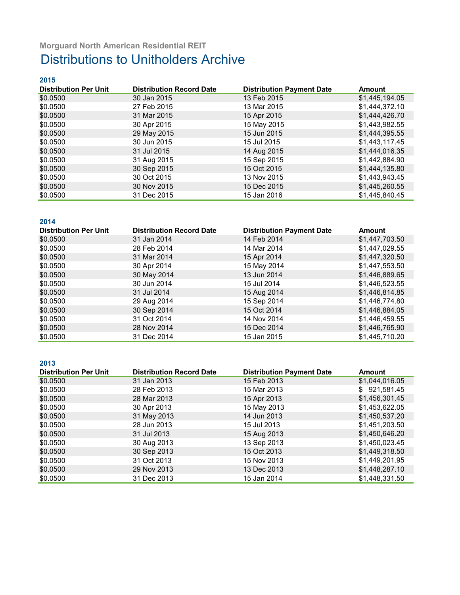| 2015                         |                                 |                                  |                |
|------------------------------|---------------------------------|----------------------------------|----------------|
| <b>Distribution Per Unit</b> | <b>Distribution Record Date</b> | <b>Distribution Payment Date</b> | Amount         |
| \$0.0500                     | 30 Jan 2015                     | 13 Feb 2015                      | \$1,445,194.05 |
| \$0.0500                     | 27 Feb 2015                     | 13 Mar 2015                      | \$1,444,372.10 |
| \$0.0500                     | 31 Mar 2015                     | 15 Apr 2015                      | \$1,444,426.70 |
| \$0.0500                     | 30 Apr 2015                     | 15 May 2015                      | \$1,443,982.55 |
| \$0.0500                     | 29 May 2015                     | 15 Jun 2015                      | \$1,444,395.55 |
| \$0.0500                     | 30 Jun 2015                     | 15 Jul 2015                      | \$1,443,117.45 |
| \$0.0500                     | 31 Jul 2015                     | 14 Aug 2015                      | \$1,444,016.35 |
| \$0.0500                     | 31 Aug 2015                     | 15 Sep 2015                      | \$1,442,884.90 |
| \$0.0500                     | 30 Sep 2015                     | 15 Oct 2015                      | \$1,444,135.80 |
| \$0.0500                     | 30 Oct 2015                     | 13 Nov 2015                      | \$1,443,943.45 |
| \$0.0500                     | 30 Nov 2015                     | 15 Dec 2015                      | \$1,445,260.55 |
| \$0.0500                     | 31 Dec 2015                     | 15 Jan 2016                      | \$1,445,840.45 |

### **2014**

| <b>Distribution Per Unit</b> | <b>Distribution Record Date</b> | <b>Distribution Payment Date</b> | <b>Amount</b>  |
|------------------------------|---------------------------------|----------------------------------|----------------|
| \$0.0500                     | 31 Jan 2014                     | 14 Feb 2014                      | \$1,447,703.50 |
| \$0.0500                     | 28 Feb 2014                     | 14 Mar 2014                      | \$1,447,029.55 |
| \$0.0500                     | 31 Mar 2014                     | 15 Apr 2014                      | \$1,447,320.50 |
| \$0.0500                     | 30 Apr 2014                     | 15 May 2014                      | \$1,447,553.50 |
| \$0.0500                     | 30 May 2014                     | 13 Jun 2014                      | \$1,446,889.65 |
| \$0.0500                     | 30 Jun 2014                     | 15 Jul 2014                      | \$1,446,523.55 |
| \$0.0500                     | 31 Jul 2014                     | 15 Aug 2014                      | \$1,446,814.85 |
| \$0.0500                     | 29 Aug 2014                     | 15 Sep 2014                      | \$1,446,774.80 |
| \$0.0500                     | 30 Sep 2014                     | 15 Oct 2014                      | \$1,446,884.05 |
| \$0.0500                     | 31 Oct 2014                     | 14 Nov 2014                      | \$1,446,459.55 |
| \$0.0500                     | 28 Nov 2014                     | 15 Dec 2014                      | \$1,446,765.90 |
| \$0.0500                     | 31 Dec 2014                     | 15 Jan 2015                      | \$1,445,710.20 |

#### **2013**

| <b>Distribution Per Unit</b> | <b>Distribution Record Date</b> | <b>Distribution Payment Date</b> | <b>Amount</b>  |
|------------------------------|---------------------------------|----------------------------------|----------------|
| \$0.0500                     | 31 Jan 2013                     | 15 Feb 2013                      | \$1,044,016.05 |
| \$0.0500                     | 28 Feb 2013                     | 15 Mar 2013                      | \$921,581.45   |
| \$0.0500                     | 28 Mar 2013                     | 15 Apr 2013                      | \$1,456,301.45 |
| \$0.0500                     | 30 Apr 2013                     | 15 May 2013                      | \$1,453,622.05 |
| \$0.0500                     | 31 May 2013                     | 14 Jun 2013                      | \$1,450,537.20 |
| \$0.0500                     | 28 Jun 2013                     | 15 Jul 2013                      | \$1,451,203.50 |
| \$0.0500                     | 31 Jul 2013                     | 15 Aug 2013                      | \$1,450,646.20 |
| \$0.0500                     | 30 Aug 2013                     | 13 Sep 2013                      | \$1,450,023.45 |
| \$0.0500                     | 30 Sep 2013                     | 15 Oct 2013                      | \$1,449,318.50 |
| \$0.0500                     | 31 Oct 2013                     | 15 Nov 2013                      | \$1,449,201.95 |
| \$0.0500                     | 29 Nov 2013                     | 13 Dec 2013                      | \$1,448,287.10 |
| \$0.0500                     | 31 Dec 2013                     | 15 Jan 2014                      | \$1,448,331.50 |